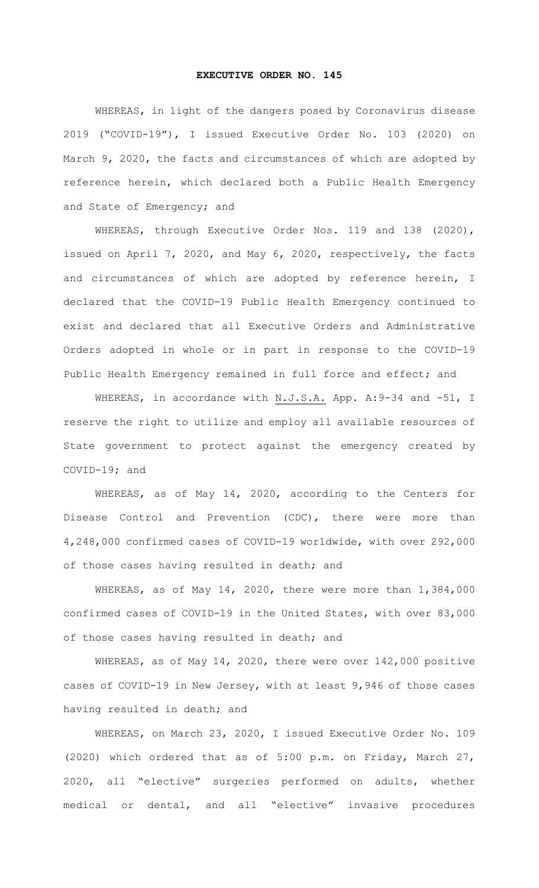## **EXECUTIVE ORDER NO. 145**

WHEREAS, in light of the dangers posed by Coronavirus disease 2019 ("COVID-19"), I issued Executive Order No. 103 (2020) on March 9, 2020, the facts and circumstances of which are adopted by reference herein, which declared both a Public Health Emergency and State of Emergency; and

WHEREAS, through Executive Order Nos. 119 and 138 (2020), issued on April 7, 2020, and May 6, 2020, respectively, the facts and circumstances of which are adopted by reference herein, I declared that the COVID-19 Public Health Emergency continued to exist and declared that all Executive Orders and Administrative Orders adopted in whole or in part in response to the COVID-19 Public Health Emergency remained in full force and effect; and

WHEREAS, in accordance with N.J.S.A. App. A: 9-34 and -51, I reserve the right to utilize and employ all available resources of State government to protect against the emergency created by COVID-19; and

WHEREAS, as of May 14, 2020, according to the Centers for Disease Control and Prevention (CDC), there were more than 4,248,000 confirmed cases of COVID-19 worldwide, with over 292,000 of those cases having resulted in death; and

WHEREAS, as of May 14, 2020, there were more than 1,384,000 confirmed cases of COVID-19 in the United States, with over 83,000 of those cases having resulted in death; and

WHEREAS, as of May 14, 2020, there were over 142,000 positive cases of COVID-19 in New Jersey, with at least 9,946 of those cases having resulted in death; and

WHEREAS, on March 23, 2020, I issued Executive Order No. 109 (2020) which ordered that as of 5:00 p.m. on Friday, March 27, 2020, all "elective" surgeries performed on adults, whether medical or dental, and all "elective" invasive procedures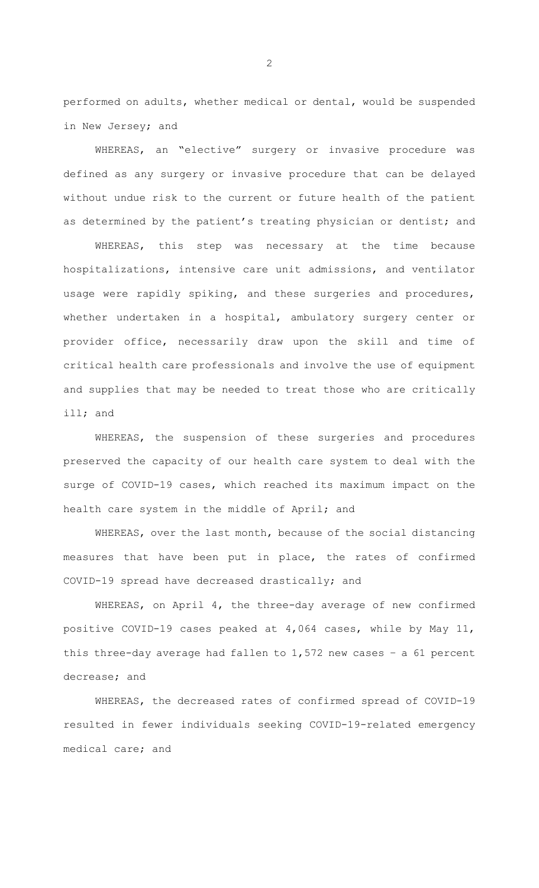performed on adults, whether medical or dental, would be suspended in New Jersey; and

WHEREAS, an "elective" surgery or invasive procedure was defined as any surgery or invasive procedure that can be delayed without undue risk to the current or future health of the patient as determined by the patient's treating physician or dentist; and

WHEREAS, this step was necessary at the time because hospitalizations, intensive care unit admissions, and ventilator usage were rapidly spiking, and these surgeries and procedures, whether undertaken in a hospital, ambulatory surgery center or provider office, necessarily draw upon the skill and time of critical health care professionals and involve the use of equipment and supplies that may be needed to treat those who are critically ill; and

WHEREAS, the suspension of these surgeries and procedures preserved the capacity of our health care system to deal with the surge of COVID-19 cases, which reached its maximum impact on the health care system in the middle of April; and

WHEREAS, over the last month, because of the social distancing measures that have been put in place, the rates of confirmed COVID-19 spread have decreased drastically; and

WHEREAS, on April 4, the three-day average of new confirmed positive COVID-19 cases peaked at 4,064 cases, while by May 11, this three-day average had fallen to 1,572 new cases – a 61 percent decrease; and

WHEREAS, the decreased rates of confirmed spread of COVID-19 resulted in fewer individuals seeking COVID-19-related emergency medical care; and

2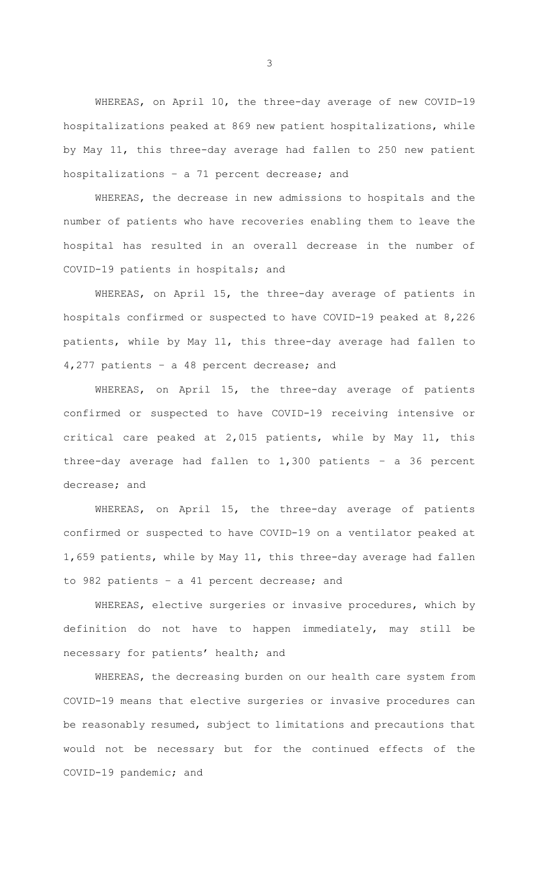WHEREAS, on April 10, the three-day average of new COVID-19 hospitalizations peaked at 869 new patient hospitalizations, while by May 11, this three-day average had fallen to 250 new patient hospitalizations – a 71 percent decrease; and

WHEREAS, the decrease in new admissions to hospitals and the number of patients who have recoveries enabling them to leave the hospital has resulted in an overall decrease in the number of COVID-19 patients in hospitals; and

WHEREAS, on April 15, the three-day average of patients in hospitals confirmed or suspected to have COVID-19 peaked at 8,226 patients, while by May 11, this three-day average had fallen to 4,277 patients – a 48 percent decrease; and

WHEREAS, on April 15, the three-day average of patients confirmed or suspected to have COVID-19 receiving intensive or critical care peaked at 2,015 patients, while by May 11, this three-day average had fallen to 1,300 patients – a 36 percent decrease; and

WHEREAS, on April 15, the three-day average of patients confirmed or suspected to have COVID-19 on a ventilator peaked at 1,659 patients, while by May 11, this three-day average had fallen to 982 patients – a 41 percent decrease; and

WHEREAS, elective surgeries or invasive procedures, which by definition do not have to happen immediately, may still be necessary for patients' health; and

WHEREAS, the decreasing burden on our health care system from COVID-19 means that elective surgeries or invasive procedures can be reasonably resumed, subject to limitations and precautions that would not be necessary but for the continued effects of the COVID-19 pandemic; and

3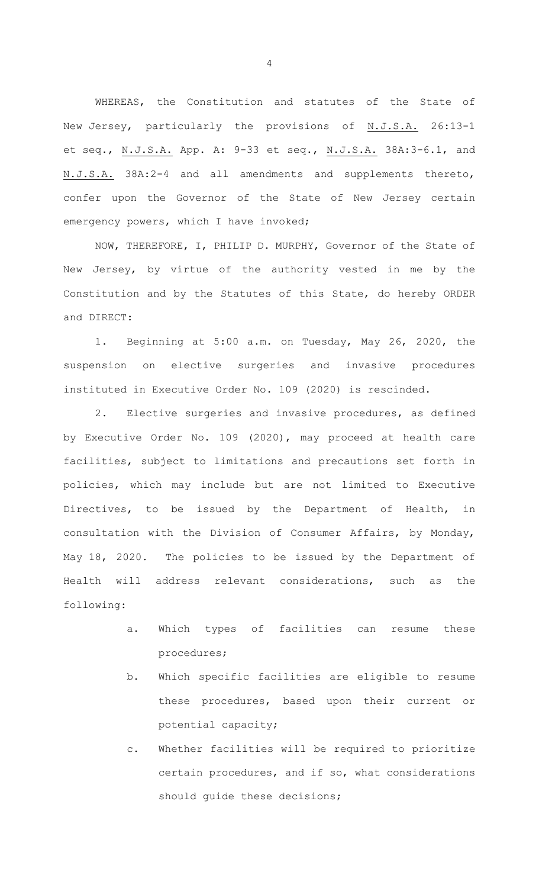WHEREAS, the Constitution and statutes of the State of New Jersey, particularly the provisions of N.J.S.A. 26:13-1 et seq., N.J.S.A. App. A: 9-33 et seq., N.J.S.A. 38A:3-6.1, and N.J.S.A. 38A:2-4 and all amendments and supplements thereto, confer upon the Governor of the State of New Jersey certain emergency powers, which I have invoked;

NOW, THEREFORE, I, PHILIP D. MURPHY, Governor of the State of New Jersey, by virtue of the authority vested in me by the Constitution and by the Statutes of this State, do hereby ORDER and DIRECT:

1. Beginning at 5:00 a.m. on Tuesday, May 26, 2020, the suspension on elective surgeries and invasive procedures instituted in Executive Order No. 109 (2020) is rescinded.

2. Elective surgeries and invasive procedures, as defined by Executive Order No. 109 (2020), may proceed at health care facilities, subject to limitations and precautions set forth in policies, which may include but are not limited to Executive Directives, to be issued by the Department of Health, in consultation with the Division of Consumer Affairs, by Monday, May 18, 2020. The policies to be issued by the Department of Health will address relevant considerations, such as the following:

- a. Which types of facilities can resume these procedures;
- b. Which specific facilities are eligible to resume these procedures, based upon their current or potential capacity;
- c. Whether facilities will be required to prioritize certain procedures, and if so, what considerations should guide these decisions;

4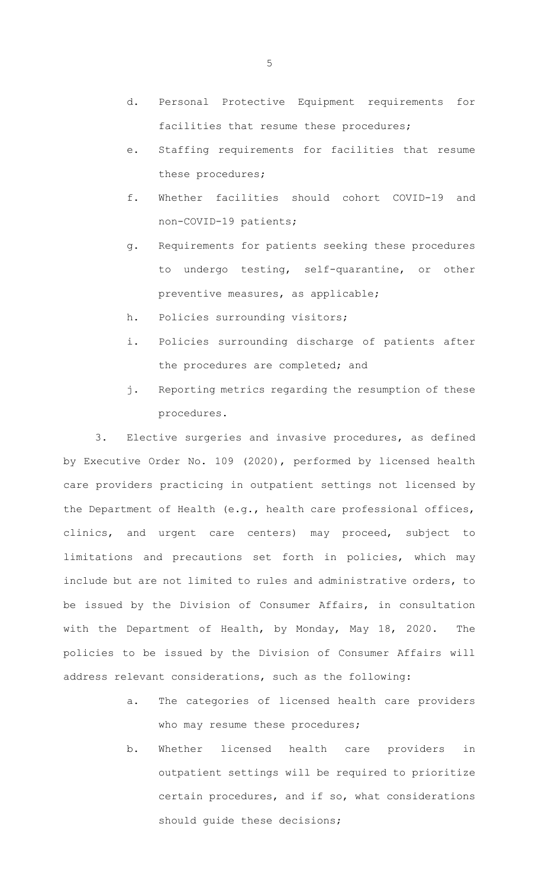- d. Personal Protective Equipment requirements for facilities that resume these procedures;
- e. Staffing requirements for facilities that resume these procedures;
- f. Whether facilities should cohort COVID-19 and non-COVID-19 patients;
- g. Requirements for patients seeking these procedures to undergo testing, self-quarantine, or other preventive measures, as applicable;
- h. Policies surrounding visitors;
- i. Policies surrounding discharge of patients after the procedures are completed; and
- j. Reporting metrics regarding the resumption of these procedures.

3. Elective surgeries and invasive procedures, as defined by Executive Order No. 109 (2020), performed by licensed health care providers practicing in outpatient settings not licensed by the Department of Health (e.g., health care professional offices, clinics, and urgent care centers) may proceed, subject to limitations and precautions set forth in policies, which may include but are not limited to rules and administrative orders, to be issued by the Division of Consumer Affairs, in consultation with the Department of Health, by Monday, May 18, 2020. The policies to be issued by the Division of Consumer Affairs will address relevant considerations, such as the following:

- a. The categories of licensed health care providers who may resume these procedures;
- b. Whether licensed health care providers in outpatient settings will be required to prioritize certain procedures, and if so, what considerations should guide these decisions;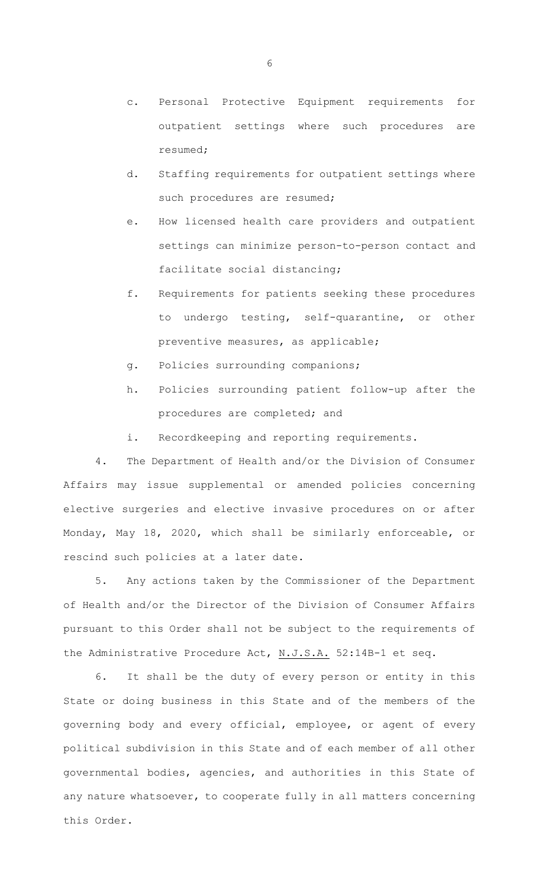- c. Personal Protective Equipment requirements for outpatient settings where such procedures are resumed;
- d. Staffing requirements for outpatient settings where such procedures are resumed;
- e. How licensed health care providers and outpatient settings can minimize person-to-person contact and facilitate social distancing;
- f. Requirements for patients seeking these procedures to undergo testing, self-quarantine, or other preventive measures, as applicable;
- g. Policies surrounding companions;
- h. Policies surrounding patient follow-up after the procedures are completed; and
- i. Recordkeeping and reporting requirements.

4. The Department of Health and/or the Division of Consumer Affairs may issue supplemental or amended policies concerning elective surgeries and elective invasive procedures on or after Monday, May 18, 2020, which shall be similarly enforceable, or rescind such policies at a later date.

5. Any actions taken by the Commissioner of the Department of Health and/or the Director of the Division of Consumer Affairs pursuant to this Order shall not be subject to the requirements of the Administrative Procedure Act, N.J.S.A. 52:14B-1 et seq.

6. It shall be the duty of every person or entity in this State or doing business in this State and of the members of the governing body and every official, employee, or agent of every political subdivision in this State and of each member of all other governmental bodies, agencies, and authorities in this State of any nature whatsoever, to cooperate fully in all matters concerning this Order.